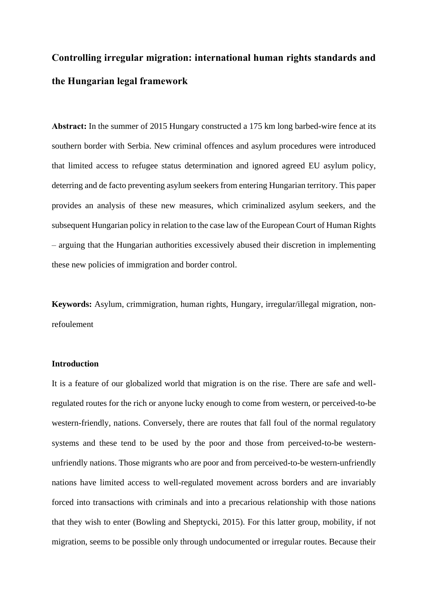# **Controlling irregular migration: international human rights standards and the Hungarian legal framework**

**Abstract:** In the summer of 2015 Hungary constructed a 175 km long barbed-wire fence at its southern border with Serbia. New criminal offences and asylum procedures were introduced that limited access to refugee status determination and ignored agreed EU asylum policy, deterring and de facto preventing asylum seekers from entering Hungarian territory. This paper provides an analysis of these new measures, which criminalized asylum seekers, and the subsequent Hungarian policy in relation to the case law of the European Court of Human Rights – arguing that the Hungarian authorities excessively abused their discretion in implementing these new policies of immigration and border control.

**Keywords:** Asylum, crimmigration, human rights, Hungary, irregular/illegal migration, nonrefoulement

#### **Introduction**

It is a feature of our globalized world that migration is on the rise. There are safe and wellregulated routes for the rich or anyone lucky enough to come from western, or perceived-to-be western-friendly, nations. Conversely, there are routes that fall foul of the normal regulatory systems and these tend to be used by the poor and those from perceived-to-be westernunfriendly nations. Those migrants who are poor and from perceived-to-be western-unfriendly nations have limited access to well-regulated movement across borders and are invariably forced into transactions with criminals and into a precarious relationship with those nations that they wish to enter (Bowling and Sheptycki, 2015). For this latter group, mobility, if not migration, seems to be possible only through undocumented or irregular routes. Because their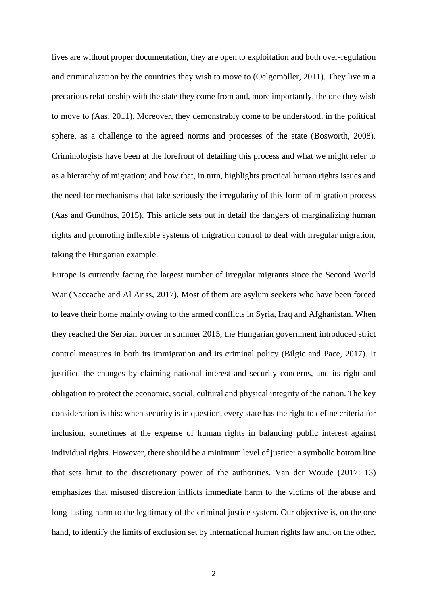lives are without proper documentation, they are open to exploitation and both over-regulation and criminalization by the countries they wish to move to (Oelgemöller, 2011). They live in a precarious relationship with the state they come from and, more importantly, the one they wish to move to (Aas, 2011). Moreover, they demonstrably come to be understood, in the political sphere, as a challenge to the agreed norms and processes of the state (Bosworth, 2008). Criminologists have been at the forefront of detailing this process and what we might refer to as a hierarchy of migration; and how that, in turn, highlights practical human rights issues and the need for mechanisms that take seriously the irregularity of this form of migration process (Aas and Gundhus, 2015). This article sets out in detail the dangers of marginalizing human rights and promoting inflexible systems of migration control to deal with irregular migration, taking the Hungarian example.

Europe is currently facing the largest number of irregular migrants since the Second World War (Naccache and Al Ariss, 2017). Most of them are asylum seekers who have been forced to leave their home mainly owing to the armed conflicts in Syria, Iraq and Afghanistan. When they reached the Serbian border in summer 2015, the Hungarian government introduced strict control measures in both its immigration and its criminal policy (Bilgic and Pace, 2017). It justified the changes by claiming national interest and security concerns, and its right and obligation to protect the economic, social, cultural and physical integrity of the nation. The key consideration is this: when security is in question, every state has the right to define criteria for inclusion, sometimes at the expense of human rights in balancing public interest against individual rights. However, there should be a minimum level of justice: a symbolic bottom line that sets limit to the discretionary power of the authorities. Van der Woude (2017: 13) emphasizes that misused discretion inflicts immediate harm to the victims of the abuse and long-lasting harm to the legitimacy of the criminal justice system. Our objective is, on the one hand, to identify the limits of exclusion set by international human rights law and, on the other,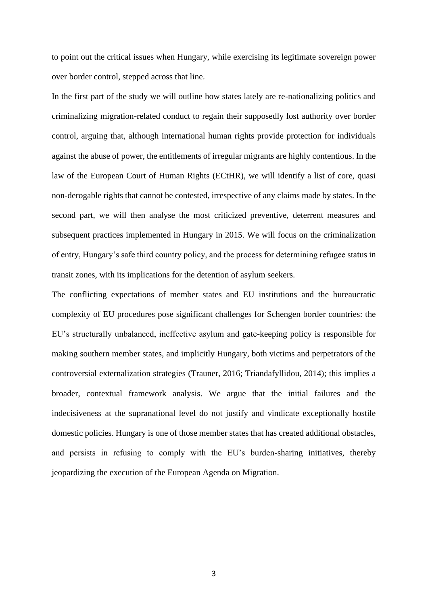to point out the critical issues when Hungary, while exercising its legitimate sovereign power over border control, stepped across that line.

In the first part of the study we will outline how states lately are re-nationalizing politics and criminalizing migration-related conduct to regain their supposedly lost authority over border control, arguing that, although international human rights provide protection for individuals against the abuse of power, the entitlements of irregular migrants are highly contentious. In the law of the European Court of Human Rights (ECtHR), we will identify a list of core, quasi non-derogable rights that cannot be contested, irrespective of any claims made by states. In the second part, we will then analyse the most criticized preventive, deterrent measures and subsequent practices implemented in Hungary in 2015. We will focus on the criminalization of entry, Hungary's safe third country policy, and the process for determining refugee status in transit zones, with its implications for the detention of asylum seekers.

The conflicting expectations of member states and EU institutions and the bureaucratic complexity of EU procedures pose significant challenges for Schengen border countries: the EU's structurally unbalanced, ineffective asylum and gate-keeping policy is responsible for making southern member states, and implicitly Hungary, both victims and perpetrators of the controversial externalization strategies (Trauner, 2016; Triandafyllidou, 2014); this implies a broader, contextual framework analysis. We argue that the initial failures and the indecisiveness at the supranational level do not justify and vindicate exceptionally hostile domestic policies. Hungary is one of those member states that has created additional obstacles, and persists in refusing to comply with the EU's burden-sharing initiatives, thereby jeopardizing the execution of the European Agenda on Migration.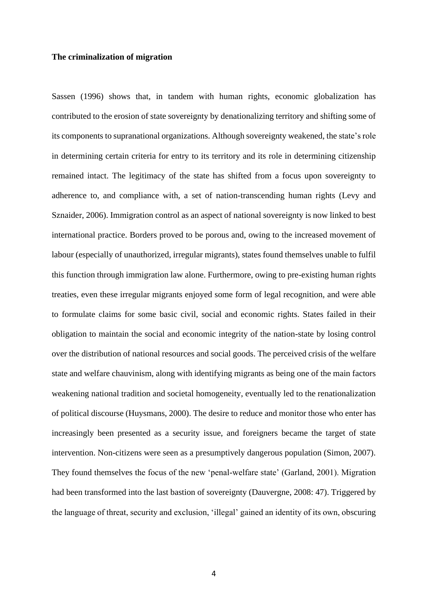#### **The criminalization of migration**

Sassen (1996) shows that, in tandem with human rights, economic globalization has contributed to the erosion of state sovereignty by denationalizing territory and shifting some of its components to supranational organizations. Although sovereignty weakened, the state's role in determining certain criteria for entry to its territory and its role in determining citizenship remained intact. The legitimacy of the state has shifted from a focus upon sovereignty to adherence to, and compliance with, a set of nation-transcending human rights (Levy and Sznaider, 2006). Immigration control as an aspect of national sovereignty is now linked to best international practice. Borders proved to be porous and, owing to the increased movement of labour (especially of unauthorized, irregular migrants), states found themselves unable to fulfil this function through immigration law alone. Furthermore, owing to pre-existing human rights treaties, even these irregular migrants enjoyed some form of legal recognition, and were able to formulate claims for some basic civil, social and economic rights. States failed in their obligation to maintain the social and economic integrity of the nation-state by losing control over the distribution of national resources and social goods. The perceived crisis of the welfare state and welfare chauvinism, along with identifying migrants as being one of the main factors weakening national tradition and societal homogeneity, eventually led to the renationalization of political discourse (Huysmans, 2000). The desire to reduce and monitor those who enter has increasingly been presented as a security issue, and foreigners became the target of state intervention. Non-citizens were seen as a presumptively dangerous population (Simon, 2007). They found themselves the focus of the new 'penal-welfare state' (Garland, 2001). Migration had been transformed into the last bastion of sovereignty (Dauvergne, 2008: 47). Triggered by the language of threat, security and exclusion, 'illegal' gained an identity of its own, obscuring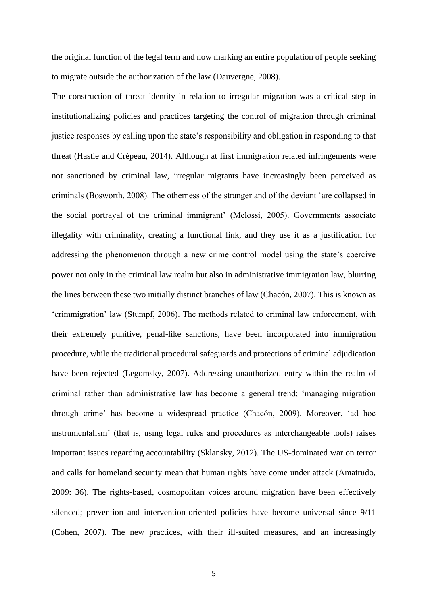the original function of the legal term and now marking an entire population of people seeking to migrate outside the authorization of the law (Dauvergne, 2008).

The construction of threat identity in relation to irregular migration was a critical step in institutionalizing policies and practices targeting the control of migration through criminal justice responses by calling upon the state's responsibility and obligation in responding to that threat (Hastie and Crépeau, 2014). Although at first immigration related infringements were not sanctioned by criminal law, irregular migrants have increasingly been perceived as criminals (Bosworth, 2008). The otherness of the stranger and of the deviant 'are collapsed in the social portrayal of the criminal immigrant' (Melossi, 2005). Governments associate illegality with criminality, creating a functional link, and they use it as a justification for addressing the phenomenon through a new crime control model using the state's coercive power not only in the criminal law realm but also in administrative immigration law, blurring the lines between these two initially distinct branches of law (Chacón, 2007). This is known as 'crimmigration' law (Stumpf, 2006). The methods related to criminal law enforcement, with their extremely punitive, penal-like sanctions, have been incorporated into immigration procedure, while the traditional procedural safeguards and protections of criminal adjudication have been rejected (Legomsky, 2007). Addressing unauthorized entry within the realm of criminal rather than administrative law has become a general trend; 'managing migration through crime' has become a widespread practice (Chacón, 2009). Moreover, 'ad hoc instrumentalism' (that is, using legal rules and procedures as interchangeable tools) raises important issues regarding accountability (Sklansky, 2012). The US-dominated war on terror and calls for homeland security mean that human rights have come under attack (Amatrudo, 2009: 36). The rights-based, cosmopolitan voices around migration have been effectively silenced; prevention and intervention-oriented policies have become universal since 9/11 (Cohen, 2007). The new practices, with their ill-suited measures, and an increasingly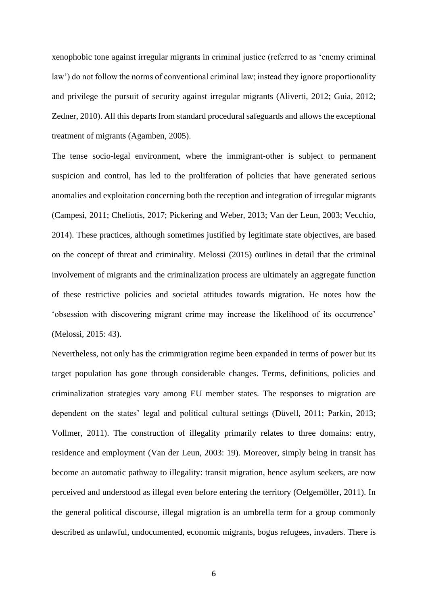xenophobic tone against irregular migrants in criminal justice (referred to as 'enemy criminal law') do not follow the norms of conventional criminal law; instead they ignore proportionality and privilege the pursuit of security against irregular migrants (Aliverti, 2012; Guia, 2012; Zedner, 2010). All this departs from standard procedural safeguards and allows the exceptional treatment of migrants (Agamben, 2005).

The tense socio-legal environment, where the immigrant-other is subject to permanent suspicion and control, has led to the proliferation of policies that have generated serious anomalies and exploitation concerning both the reception and integration of irregular migrants (Campesi, 2011; Cheliotis, 2017; Pickering and Weber, 2013; Van der Leun, 2003; Vecchio, 2014). These practices, although sometimes justified by legitimate state objectives, are based on the concept of threat and criminality. Melossi (2015) outlines in detail that the criminal involvement of migrants and the criminalization process are ultimately an aggregate function of these restrictive policies and societal attitudes towards migration. He notes how the 'obsession with discovering migrant crime may increase the likelihood of its occurrence' (Melossi, 2015: 43).

Nevertheless, not only has the crimmigration regime been expanded in terms of power but its target population has gone through considerable changes. Terms, definitions, policies and criminalization strategies vary among EU member states. The responses to migration are dependent on the states' legal and political cultural settings (Düvell, 2011; Parkin, 2013; Vollmer, 2011). The construction of illegality primarily relates to three domains: entry, residence and employment (Van der Leun, 2003: 19). Moreover, simply being in transit has become an automatic pathway to illegality: transit migration, hence asylum seekers, are now perceived and understood as illegal even before entering the territory (Oelgemöller, 2011). In the general political discourse, illegal migration is an umbrella term for a group commonly described as unlawful, undocumented, economic migrants, bogus refugees, invaders. There is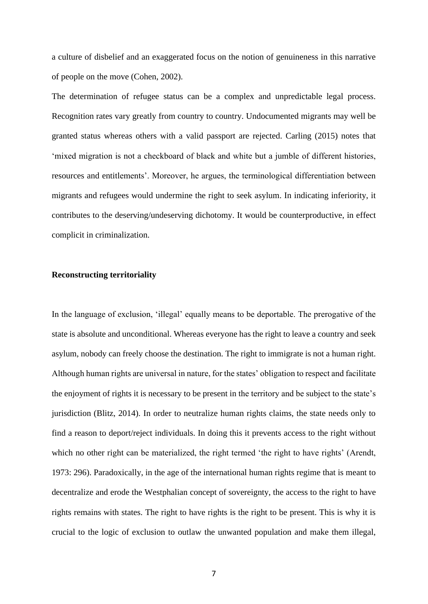a culture of disbelief and an exaggerated focus on the notion of genuineness in this narrative of people on the move (Cohen, 2002).

The determination of refugee status can be a complex and unpredictable legal process. Recognition rates vary greatly from country to country. Undocumented migrants may well be granted status whereas others with a valid passport are rejected. Carling (2015) notes that 'mixed migration is not a checkboard of black and white but a jumble of different histories, resources and entitlements'. Moreover, he argues, the terminological differentiation between migrants and refugees would undermine the right to seek asylum. In indicating inferiority, it contributes to the deserving/undeserving dichotomy. It would be counterproductive, in effect complicit in criminalization.

#### **Reconstructing territoriality**

In the language of exclusion, 'illegal' equally means to be deportable. The prerogative of the state is absolute and unconditional. Whereas everyone has the right to leave a country and seek asylum, nobody can freely choose the destination. The right to immigrate is not a human right. Although human rights are universal in nature, for the states' obligation to respect and facilitate the enjoyment of rights it is necessary to be present in the territory and be subject to the state's jurisdiction (Blitz, 2014). In order to neutralize human rights claims, the state needs only to find a reason to deport/reject individuals. In doing this it prevents access to the right without which no other right can be materialized, the right termed 'the right to have rights' (Arendt, 1973: 296). Paradoxically, in the age of the international human rights regime that is meant to decentralize and erode the Westphalian concept of sovereignty, the access to the right to have rights remains with states. The right to have rights is the right to be present. This is why it is crucial to the logic of exclusion to outlaw the unwanted population and make them illegal,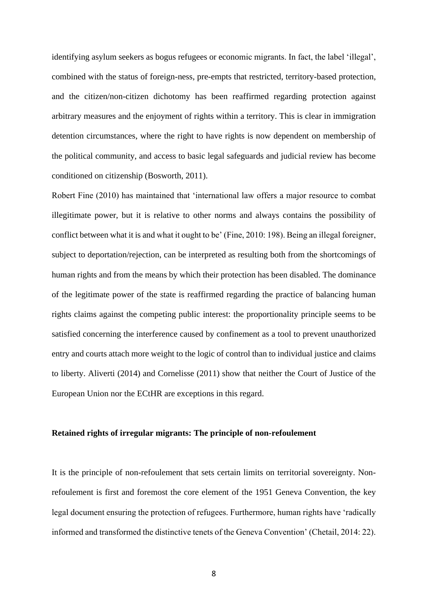identifying asylum seekers as bogus refugees or economic migrants. In fact, the label 'illegal', combined with the status of foreign-ness, pre-empts that restricted, territory-based protection, and the citizen/non-citizen dichotomy has been reaffirmed regarding protection against arbitrary measures and the enjoyment of rights within a territory. This is clear in immigration detention circumstances, where the right to have rights is now dependent on membership of the political community, and access to basic legal safeguards and judicial review has become conditioned on citizenship (Bosworth, 2011).

Robert Fine (2010) has maintained that 'international law offers a major resource to combat illegitimate power, but it is relative to other norms and always contains the possibility of conflict between what it is and what it ought to be' (Fine, 2010: 198). Being an illegal foreigner, subject to deportation/rejection, can be interpreted as resulting both from the shortcomings of human rights and from the means by which their protection has been disabled. The dominance of the legitimate power of the state is reaffirmed regarding the practice of balancing human rights claims against the competing public interest: the proportionality principle seems to be satisfied concerning the interference caused by confinement as a tool to prevent unauthorized entry and courts attach more weight to the logic of control than to individual justice and claims to liberty. Aliverti (2014) and Cornelisse (2011) show that neither the Court of Justice of the European Union nor the ECtHR are exceptions in this regard.

#### **Retained rights of irregular migrants: The principle of non-refoulement**

It is the principle of non-refoulement that sets certain limits on territorial sovereignty. Nonrefoulement is first and foremost the core element of the 1951 Geneva Convention, the key legal document ensuring the protection of refugees. Furthermore, human rights have 'radically informed and transformed the distinctive tenets of the Geneva Convention' (Chetail, 2014: 22).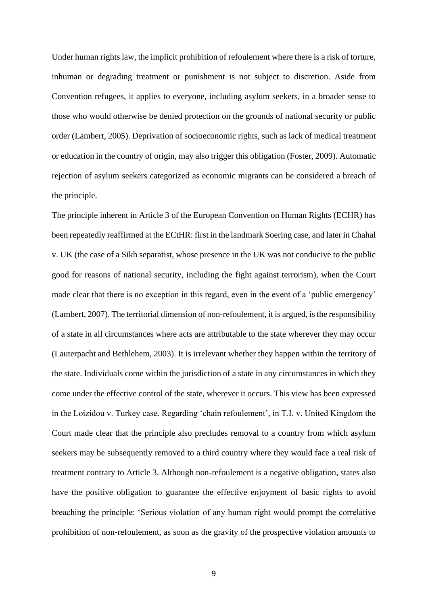Under human rights law, the implicit prohibition of refoulement where there is a risk of torture, inhuman or degrading treatment or punishment is not subject to discretion. Aside from Convention refugees, it applies to everyone, including asylum seekers, in a broader sense to those who would otherwise be denied protection on the grounds of national security or public order (Lambert, 2005). Deprivation of socioeconomic rights, such as lack of medical treatment or education in the country of origin, may also trigger this obligation (Foster, 2009). Automatic rejection of asylum seekers categorized as economic migrants can be considered a breach of the principle.

The principle inherent in Article 3 of the European Convention on Human Rights (ECHR) has been repeatedly reaffirmed at the ECtHR: first in the landmark Soering case, and later in Chahal v. UK (the case of a Sikh separatist, whose presence in the UK was not conducive to the public good for reasons of national security, including the fight against terrorism), when the Court made clear that there is no exception in this regard, even in the event of a 'public emergency' (Lambert, 2007). The territorial dimension of non-refoulement, it is argued, is the responsibility of a state in all circumstances where acts are attributable to the state wherever they may occur (Lauterpacht and Bethlehem, 2003). It is irrelevant whether they happen within the territory of the state. Individuals come within the jurisdiction of a state in any circumstances in which they come under the effective control of the state, wherever it occurs. This view has been expressed in the Loizidou v. Turkey case. Regarding 'chain refoulement', in T.I. v. United Kingdom the Court made clear that the principle also precludes removal to a country from which asylum seekers may be subsequently removed to a third country where they would face a real risk of treatment contrary to Article 3. Although non-refoulement is a negative obligation, states also have the positive obligation to guarantee the effective enjoyment of basic rights to avoid breaching the principle: 'Serious violation of any human right would prompt the correlative prohibition of non-refoulement, as soon as the gravity of the prospective violation amounts to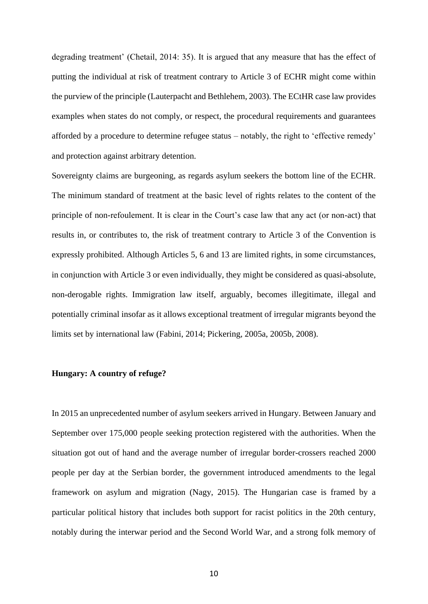degrading treatment' (Chetail, 2014: 35). It is argued that any measure that has the effect of putting the individual at risk of treatment contrary to Article 3 of ECHR might come within the purview of the principle (Lauterpacht and Bethlehem, 2003). The ECtHR case law provides examples when states do not comply, or respect, the procedural requirements and guarantees afforded by a procedure to determine refugee status – notably, the right to 'effective remedy' and protection against arbitrary detention.

Sovereignty claims are burgeoning, as regards asylum seekers the bottom line of the ECHR. The minimum standard of treatment at the basic level of rights relates to the content of the principle of non-refoulement. It is clear in the Court's case law that any act (or non-act) that results in, or contributes to, the risk of treatment contrary to Article 3 of the Convention is expressly prohibited. Although Articles 5, 6 and 13 are limited rights, in some circumstances, in conjunction with Article 3 or even individually, they might be considered as quasi-absolute, non-derogable rights. Immigration law itself, arguably, becomes illegitimate, illegal and potentially criminal insofar as it allows exceptional treatment of irregular migrants beyond the limits set by international law (Fabini, 2014; Pickering, 2005a, 2005b, 2008).

#### **Hungary: A country of refuge?**

In 2015 an unprecedented number of asylum seekers arrived in Hungary. Between January and September over 175,000 people seeking protection registered with the authorities. When the situation got out of hand and the average number of irregular border-crossers reached 2000 people per day at the Serbian border, the government introduced amendments to the legal framework on asylum and migration (Nagy, 2015). The Hungarian case is framed by a particular political history that includes both support for racist politics in the 20th century, notably during the interwar period and the Second World War, and a strong folk memory of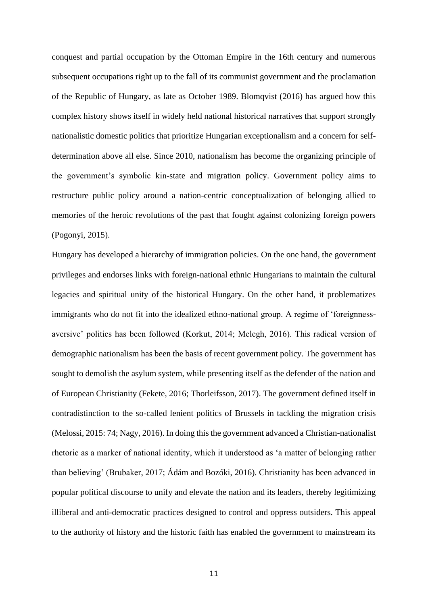conquest and partial occupation by the Ottoman Empire in the 16th century and numerous subsequent occupations right up to the fall of its communist government and the proclamation of the Republic of Hungary, as late as October 1989. Blomqvist (2016) has argued how this complex history shows itself in widely held national historical narratives that support strongly nationalistic domestic politics that prioritize Hungarian exceptionalism and a concern for selfdetermination above all else. Since 2010, nationalism has become the organizing principle of the government's symbolic kin-state and migration policy. Government policy aims to restructure public policy around a nation-centric conceptualization of belonging allied to memories of the heroic revolutions of the past that fought against colonizing foreign powers (Pogonyi, 2015).

Hungary has developed a hierarchy of immigration policies. On the one hand, the government privileges and endorses links with foreign-national ethnic Hungarians to maintain the cultural legacies and spiritual unity of the historical Hungary. On the other hand, it problematizes immigrants who do not fit into the idealized ethno-national group. A regime of 'foreignnessaversive' politics has been followed (Korkut, 2014; Melegh, 2016). This radical version of demographic nationalism has been the basis of recent government policy. The government has sought to demolish the asylum system, while presenting itself as the defender of the nation and of European Christianity (Fekete, 2016; Thorleifsson, 2017). The government defined itself in contradistinction to the so-called lenient politics of Brussels in tackling the migration crisis (Melossi, 2015: 74; Nagy, 2016). In doing this the government advanced a Christian-nationalist rhetoric as a marker of national identity, which it understood as 'a matter of belonging rather than believing' (Brubaker, 2017; Ádám and Bozóki, 2016). Christianity has been advanced in popular political discourse to unify and elevate the nation and its leaders, thereby legitimizing illiberal and anti-democratic practices designed to control and oppress outsiders. This appeal to the authority of history and the historic faith has enabled the government to mainstream its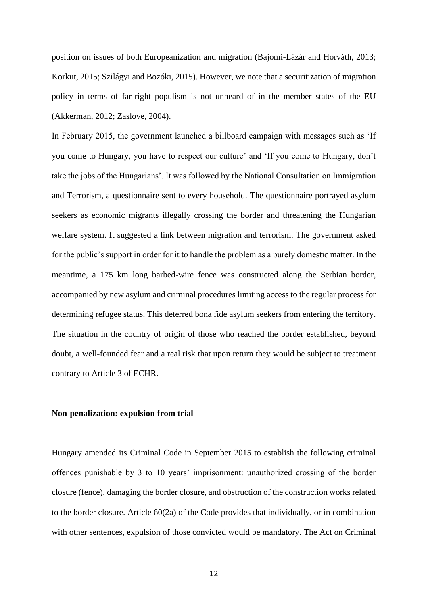position on issues of both Europeanization and migration (Bajomi-Lázár and Horváth, 2013; Korkut, 2015; Szilágyi and Bozóki, 2015). However, we note that a securitization of migration policy in terms of far-right populism is not unheard of in the member states of the EU (Akkerman, 2012; Zaslove, 2004).

In February 2015, the government launched a billboard campaign with messages such as 'If you come to Hungary, you have to respect our culture' and 'If you come to Hungary, don't take the jobs of the Hungarians'. It was followed by the National Consultation on Immigration and Terrorism, a questionnaire sent to every household. The questionnaire portrayed asylum seekers as economic migrants illegally crossing the border and threatening the Hungarian welfare system. It suggested a link between migration and terrorism. The government asked for the public's support in order for it to handle the problem as a purely domestic matter. In the meantime, a 175 km long barbed-wire fence was constructed along the Serbian border, accompanied by new asylum and criminal procedures limiting access to the regular process for determining refugee status. This deterred bona fide asylum seekers from entering the territory. The situation in the country of origin of those who reached the border established, beyond doubt, a well-founded fear and a real risk that upon return they would be subject to treatment contrary to Article 3 of ECHR.

#### **Non-penalization: expulsion from trial**

Hungary amended its Criminal Code in September 2015 to establish the following criminal offences punishable by 3 to 10 years' imprisonment: unauthorized crossing of the border closure (fence), damaging the border closure, and obstruction of the construction works related to the border closure. Article 60(2a) of the Code provides that individually, or in combination with other sentences, expulsion of those convicted would be mandatory. The Act on Criminal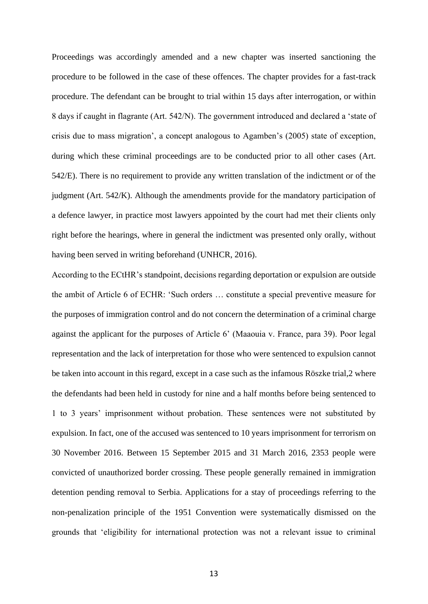Proceedings was accordingly amended and a new chapter was inserted sanctioning the procedure to be followed in the case of these offences. The chapter provides for a fast-track procedure. The defendant can be brought to trial within 15 days after interrogation, or within 8 days if caught in flagrante (Art. 542/N). The government introduced and declared a 'state of crisis due to mass migration', a concept analogous to Agamben's (2005) state of exception, during which these criminal proceedings are to be conducted prior to all other cases (Art. 542/E). There is no requirement to provide any written translation of the indictment or of the judgment (Art. 542/K). Although the amendments provide for the mandatory participation of a defence lawyer, in practice most lawyers appointed by the court had met their clients only right before the hearings, where in general the indictment was presented only orally, without having been served in writing beforehand (UNHCR, 2016).

According to the ECtHR's standpoint, decisions regarding deportation or expulsion are outside the ambit of Article 6 of ECHR: 'Such orders … constitute a special preventive measure for the purposes of immigration control and do not concern the determination of a criminal charge against the applicant for the purposes of Article 6' (Maaouia v. France, para 39). Poor legal representation and the lack of interpretation for those who were sentenced to expulsion cannot be taken into account in this regard, except in a case such as the infamous Röszke trial,2 where the defendants had been held in custody for nine and a half months before being sentenced to 1 to 3 years' imprisonment without probation. These sentences were not substituted by expulsion. In fact, one of the accused was sentenced to 10 years imprisonment for terrorism on 30 November 2016. Between 15 September 2015 and 31 March 2016, 2353 people were convicted of unauthorized border crossing. These people generally remained in immigration detention pending removal to Serbia. Applications for a stay of proceedings referring to the non-penalization principle of the 1951 Convention were systematically dismissed on the grounds that 'eligibility for international protection was not a relevant issue to criminal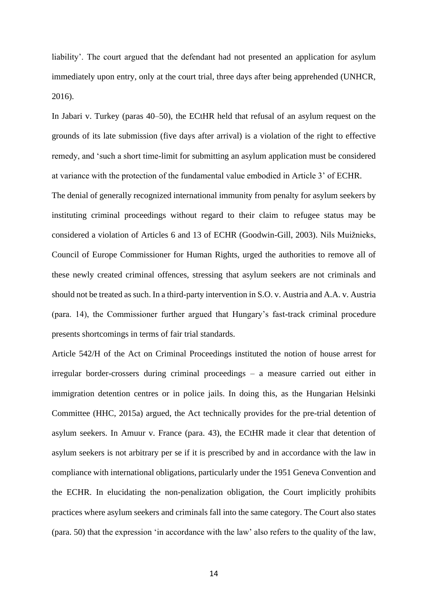liability'. The court argued that the defendant had not presented an application for asylum immediately upon entry, only at the court trial, three days after being apprehended (UNHCR, 2016).

In Jabari v. Turkey (paras 40–50), the ECtHR held that refusal of an asylum request on the grounds of its late submission (five days after arrival) is a violation of the right to effective remedy, and 'such a short time-limit for submitting an asylum application must be considered at variance with the protection of the fundamental value embodied in Article 3' of ECHR.

The denial of generally recognized international immunity from penalty for asylum seekers by instituting criminal proceedings without regard to their claim to refugee status may be considered a violation of Articles 6 and 13 of ECHR (Goodwin-Gill, 2003). Nils Muižnieks, Council of Europe Commissioner for Human Rights, urged the authorities to remove all of these newly created criminal offences, stressing that asylum seekers are not criminals and should not be treated as such. In a third-party intervention in S.O. v. Austria and A.A. v. Austria (para. 14), the Commissioner further argued that Hungary's fast-track criminal procedure presents shortcomings in terms of fair trial standards.

Article 542/H of the Act on Criminal Proceedings instituted the notion of house arrest for irregular border-crossers during criminal proceedings – a measure carried out either in immigration detention centres or in police jails. In doing this, as the Hungarian Helsinki Committee (HHC, 2015a) argued, the Act technically provides for the pre-trial detention of asylum seekers. In Amuur v. France (para. 43), the ECtHR made it clear that detention of asylum seekers is not arbitrary per se if it is prescribed by and in accordance with the law in compliance with international obligations, particularly under the 1951 Geneva Convention and the ECHR. In elucidating the non-penalization obligation, the Court implicitly prohibits practices where asylum seekers and criminals fall into the same category. The Court also states (para. 50) that the expression 'in accordance with the law' also refers to the quality of the law,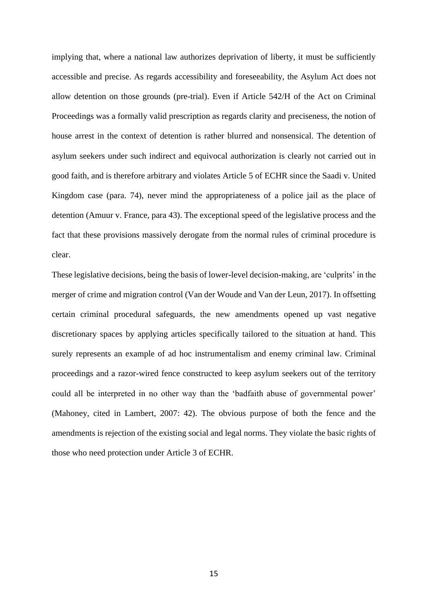implying that, where a national law authorizes deprivation of liberty, it must be sufficiently accessible and precise. As regards accessibility and foreseeability, the Asylum Act does not allow detention on those grounds (pre-trial). Even if Article 542/H of the Act on Criminal Proceedings was a formally valid prescription as regards clarity and preciseness, the notion of house arrest in the context of detention is rather blurred and nonsensical. The detention of asylum seekers under such indirect and equivocal authorization is clearly not carried out in good faith, and is therefore arbitrary and violates Article 5 of ECHR since the Saadi v. United Kingdom case (para. 74), never mind the appropriateness of a police jail as the place of detention (Amuur v. France, para 43). The exceptional speed of the legislative process and the fact that these provisions massively derogate from the normal rules of criminal procedure is clear.

These legislative decisions, being the basis of lower-level decision-making, are 'culprits' in the merger of crime and migration control (Van der Woude and Van der Leun, 2017). In offsetting certain criminal procedural safeguards, the new amendments opened up vast negative discretionary spaces by applying articles specifically tailored to the situation at hand. This surely represents an example of ad hoc instrumentalism and enemy criminal law. Criminal proceedings and a razor-wired fence constructed to keep asylum seekers out of the territory could all be interpreted in no other way than the 'badfaith abuse of governmental power' (Mahoney, cited in Lambert, 2007: 42). The obvious purpose of both the fence and the amendments is rejection of the existing social and legal norms. They violate the basic rights of those who need protection under Article 3 of ECHR.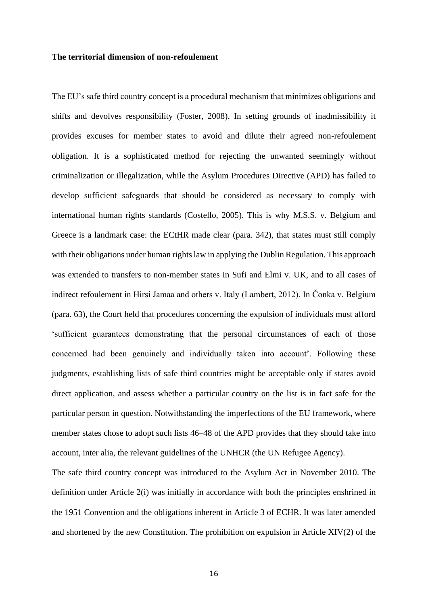#### **The territorial dimension of non-refoulement**

The EU's safe third country concept is a procedural mechanism that minimizes obligations and shifts and devolves responsibility (Foster, 2008). In setting grounds of inadmissibility it provides excuses for member states to avoid and dilute their agreed non-refoulement obligation. It is a sophisticated method for rejecting the unwanted seemingly without criminalization or illegalization, while the Asylum Procedures Directive (APD) has failed to develop sufficient safeguards that should be considered as necessary to comply with international human rights standards (Costello, 2005). This is why M.S.S. v. Belgium and Greece is a landmark case: the ECtHR made clear (para. 342), that states must still comply with their obligations under human rights law in applying the Dublin Regulation. This approach was extended to transfers to non-member states in Sufi and Elmi v. UK, and to all cases of indirect refoulement in Hirsi Jamaa and others v. Italy (Lambert, 2012). In Čonka v. Belgium (para. 63), the Court held that procedures concerning the expulsion of individuals must afford 'sufficient guarantees demonstrating that the personal circumstances of each of those concerned had been genuinely and individually taken into account'. Following these judgments, establishing lists of safe third countries might be acceptable only if states avoid direct application, and assess whether a particular country on the list is in fact safe for the particular person in question. Notwithstanding the imperfections of the EU framework, where member states chose to adopt such lists 46–48 of the APD provides that they should take into account, inter alia, the relevant guidelines of the UNHCR (the UN Refugee Agency).

The safe third country concept was introduced to the Asylum Act in November 2010. The definition under Article 2(i) was initially in accordance with both the principles enshrined in the 1951 Convention and the obligations inherent in Article 3 of ECHR. It was later amended and shortened by the new Constitution. The prohibition on expulsion in Article XIV(2) of the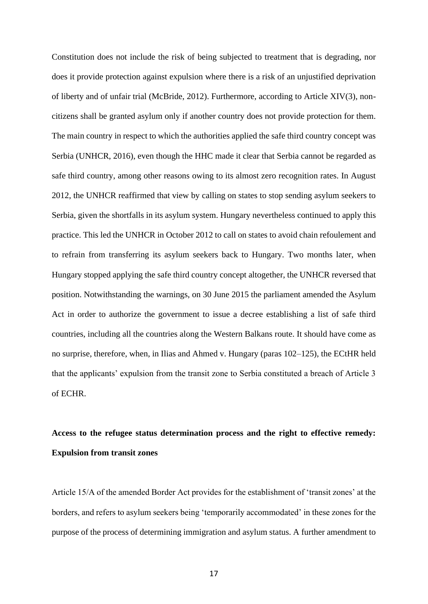Constitution does not include the risk of being subjected to treatment that is degrading, nor does it provide protection against expulsion where there is a risk of an unjustified deprivation of liberty and of unfair trial (McBride, 2012). Furthermore, according to Article XIV(3), noncitizens shall be granted asylum only if another country does not provide protection for them. The main country in respect to which the authorities applied the safe third country concept was Serbia (UNHCR, 2016), even though the HHC made it clear that Serbia cannot be regarded as safe third country, among other reasons owing to its almost zero recognition rates. In August 2012, the UNHCR reaffirmed that view by calling on states to stop sending asylum seekers to Serbia, given the shortfalls in its asylum system. Hungary nevertheless continued to apply this practice. This led the UNHCR in October 2012 to call on states to avoid chain refoulement and to refrain from transferring its asylum seekers back to Hungary. Two months later, when Hungary stopped applying the safe third country concept altogether, the UNHCR reversed that position. Notwithstanding the warnings, on 30 June 2015 the parliament amended the Asylum Act in order to authorize the government to issue a decree establishing a list of safe third countries, including all the countries along the Western Balkans route. It should have come as no surprise, therefore, when, in Ilias and Ahmed v. Hungary (paras 102–125), the ECtHR held that the applicants' expulsion from the transit zone to Serbia constituted a breach of Article 3 of ECHR.

## **Access to the refugee status determination process and the right to effective remedy: Expulsion from transit zones**

Article 15/A of the amended Border Act provides for the establishment of 'transit zones' at the borders, and refers to asylum seekers being 'temporarily accommodated' in these zones for the purpose of the process of determining immigration and asylum status. A further amendment to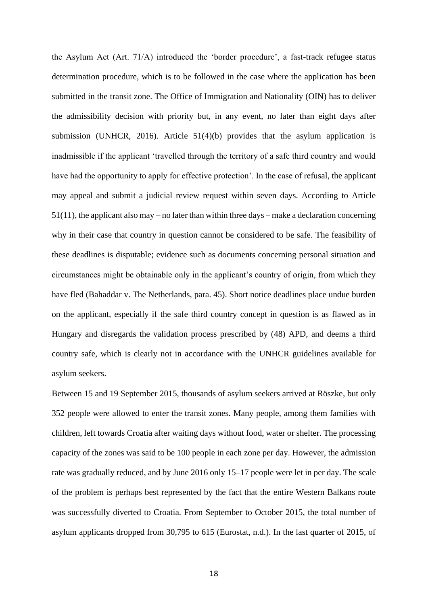the Asylum Act (Art. 71/A) introduced the 'border procedure', a fast-track refugee status determination procedure, which is to be followed in the case where the application has been submitted in the transit zone. The Office of Immigration and Nationality (OIN) has to deliver the admissibility decision with priority but, in any event, no later than eight days after submission (UNHCR, 2016). Article 51(4)(b) provides that the asylum application is inadmissible if the applicant 'travelled through the territory of a safe third country and would have had the opportunity to apply for effective protection'. In the case of refusal, the applicant may appeal and submit a judicial review request within seven days. According to Article 51(11), the applicant also may – no later than within three days – make a declaration concerning why in their case that country in question cannot be considered to be safe. The feasibility of these deadlines is disputable; evidence such as documents concerning personal situation and circumstances might be obtainable only in the applicant's country of origin, from which they have fled (Bahaddar v. The Netherlands, para. 45). Short notice deadlines place undue burden on the applicant, especially if the safe third country concept in question is as flawed as in Hungary and disregards the validation process prescribed by (48) APD, and deems a third country safe, which is clearly not in accordance with the UNHCR guidelines available for asylum seekers.

Between 15 and 19 September 2015, thousands of asylum seekers arrived at Röszke, but only 352 people were allowed to enter the transit zones. Many people, among them families with children, left towards Croatia after waiting days without food, water or shelter. The processing capacity of the zones was said to be 100 people in each zone per day. However, the admission rate was gradually reduced, and by June 2016 only 15–17 people were let in per day. The scale of the problem is perhaps best represented by the fact that the entire Western Balkans route was successfully diverted to Croatia. From September to October 2015, the total number of asylum applicants dropped from 30,795 to 615 (Eurostat, n.d.). In the last quarter of 2015, of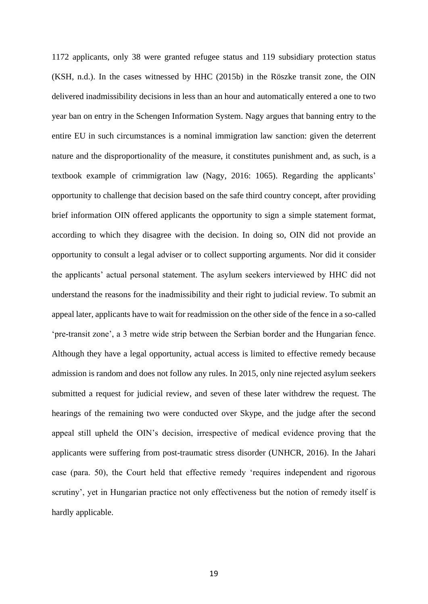1172 applicants, only 38 were granted refugee status and 119 subsidiary protection status (KSH, n.d.). In the cases witnessed by HHC (2015b) in the Röszke transit zone, the OIN delivered inadmissibility decisions in less than an hour and automatically entered a one to two year ban on entry in the Schengen Information System. Nagy argues that banning entry to the entire EU in such circumstances is a nominal immigration law sanction: given the deterrent nature and the disproportionality of the measure, it constitutes punishment and, as such, is a textbook example of crimmigration law (Nagy, 2016: 1065). Regarding the applicants' opportunity to challenge that decision based on the safe third country concept, after providing brief information OIN offered applicants the opportunity to sign a simple statement format, according to which they disagree with the decision. In doing so, OIN did not provide an opportunity to consult a legal adviser or to collect supporting arguments. Nor did it consider the applicants' actual personal statement. The asylum seekers interviewed by HHC did not understand the reasons for the inadmissibility and their right to judicial review. To submit an appeal later, applicants have to wait for readmission on the other side of the fence in a so-called 'pre-transit zone', a 3 metre wide strip between the Serbian border and the Hungarian fence. Although they have a legal opportunity, actual access is limited to effective remedy because admission is random and does not follow any rules. In 2015, only nine rejected asylum seekers submitted a request for judicial review, and seven of these later withdrew the request. The hearings of the remaining two were conducted over Skype, and the judge after the second appeal still upheld the OIN's decision, irrespective of medical evidence proving that the applicants were suffering from post-traumatic stress disorder (UNHCR, 2016). In the Jahari case (para. 50), the Court held that effective remedy 'requires independent and rigorous scrutiny', yet in Hungarian practice not only effectiveness but the notion of remedy itself is hardly applicable.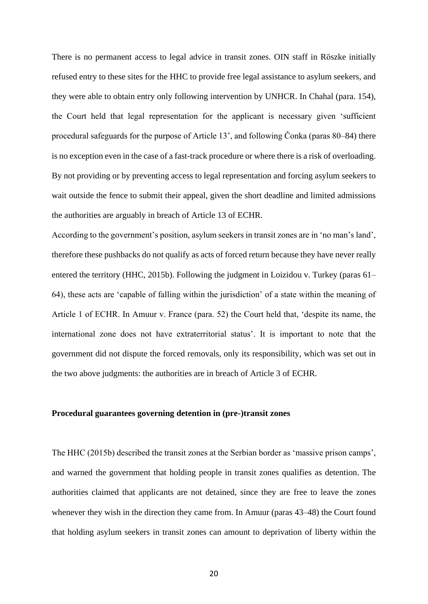There is no permanent access to legal advice in transit zones. OIN staff in Röszke initially refused entry to these sites for the HHC to provide free legal assistance to asylum seekers, and they were able to obtain entry only following intervention by UNHCR. In Chahal (para. 154), the Court held that legal representation for the applicant is necessary given 'sufficient procedural safeguards for the purpose of Article 13', and following Čonka (paras 80–84) there is no exception even in the case of a fast-track procedure or where there is a risk of overloading. By not providing or by preventing access to legal representation and forcing asylum seekers to wait outside the fence to submit their appeal, given the short deadline and limited admissions the authorities are arguably in breach of Article 13 of ECHR.

According to the government's position, asylum seekers in transit zones are in 'no man's land', therefore these pushbacks do not qualify as acts of forced return because they have never really entered the territory (HHC, 2015b). Following the judgment in Loizidou v. Turkey (paras 61– 64), these acts are 'capable of falling within the jurisdiction' of a state within the meaning of Article 1 of ECHR. In Amuur v. France (para. 52) the Court held that, 'despite its name, the international zone does not have extraterritorial status'. It is important to note that the government did not dispute the forced removals, only its responsibility, which was set out in the two above judgments: the authorities are in breach of Article 3 of ECHR.

## **Procedural guarantees governing detention in (pre-)transit zones**

The HHC (2015b) described the transit zones at the Serbian border as 'massive prison camps', and warned the government that holding people in transit zones qualifies as detention. The authorities claimed that applicants are not detained, since they are free to leave the zones whenever they wish in the direction they came from. In Amuur (paras 43–48) the Court found that holding asylum seekers in transit zones can amount to deprivation of liberty within the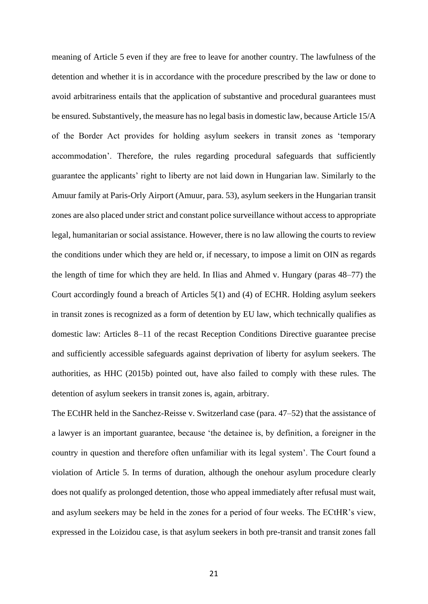meaning of Article 5 even if they are free to leave for another country. The lawfulness of the detention and whether it is in accordance with the procedure prescribed by the law or done to avoid arbitrariness entails that the application of substantive and procedural guarantees must be ensured. Substantively, the measure has no legal basis in domestic law, because Article 15/A of the Border Act provides for holding asylum seekers in transit zones as 'temporary accommodation'. Therefore, the rules regarding procedural safeguards that sufficiently guarantee the applicants' right to liberty are not laid down in Hungarian law. Similarly to the Amuur family at Paris-Orly Airport (Amuur, para. 53), asylum seekers in the Hungarian transit zones are also placed under strict and constant police surveillance without access to appropriate legal, humanitarian or social assistance. However, there is no law allowing the courts to review the conditions under which they are held or, if necessary, to impose a limit on OIN as regards the length of time for which they are held. In Ilias and Ahmed v. Hungary (paras 48–77) the Court accordingly found a breach of Articles 5(1) and (4) of ECHR. Holding asylum seekers in transit zones is recognized as a form of detention by EU law, which technically qualifies as domestic law: Articles 8–11 of the recast Reception Conditions Directive guarantee precise and sufficiently accessible safeguards against deprivation of liberty for asylum seekers. The authorities, as HHC (2015b) pointed out, have also failed to comply with these rules. The detention of asylum seekers in transit zones is, again, arbitrary.

The ECtHR held in the Sanchez-Reisse v. Switzerland case (para. 47–52) that the assistance of a lawyer is an important guarantee, because 'the detainee is, by definition, a foreigner in the country in question and therefore often unfamiliar with its legal system'. The Court found a violation of Article 5. In terms of duration, although the onehour asylum procedure clearly does not qualify as prolonged detention, those who appeal immediately after refusal must wait, and asylum seekers may be held in the zones for a period of four weeks. The ECtHR's view, expressed in the Loizidou case, is that asylum seekers in both pre-transit and transit zones fall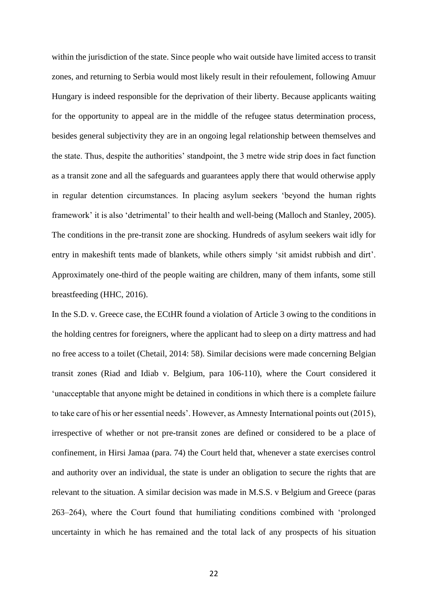within the jurisdiction of the state. Since people who wait outside have limited access to transit zones, and returning to Serbia would most likely result in their refoulement, following Amuur Hungary is indeed responsible for the deprivation of their liberty. Because applicants waiting for the opportunity to appeal are in the middle of the refugee status determination process, besides general subjectivity they are in an ongoing legal relationship between themselves and the state. Thus, despite the authorities' standpoint, the 3 metre wide strip does in fact function as a transit zone and all the safeguards and guarantees apply there that would otherwise apply in regular detention circumstances. In placing asylum seekers 'beyond the human rights framework' it is also 'detrimental' to their health and well-being (Malloch and Stanley, 2005). The conditions in the pre-transit zone are shocking. Hundreds of asylum seekers wait idly for entry in makeshift tents made of blankets, while others simply 'sit amidst rubbish and dirt'. Approximately one-third of the people waiting are children, many of them infants, some still breastfeeding (HHC, 2016).

In the S.D. v. Greece case, the ECtHR found a violation of Article 3 owing to the conditions in the holding centres for foreigners, where the applicant had to sleep on a dirty mattress and had no free access to a toilet (Chetail, 2014: 58). Similar decisions were made concerning Belgian transit zones (Riad and Idiab v. Belgium, para 106-110), where the Court considered it 'unacceptable that anyone might be detained in conditions in which there is a complete failure to take care of his or her essential needs'. However, as Amnesty International points out (2015), irrespective of whether or not pre-transit zones are defined or considered to be a place of confinement, in Hirsi Jamaa (para. 74) the Court held that, whenever a state exercises control and authority over an individual, the state is under an obligation to secure the rights that are relevant to the situation. A similar decision was made in M.S.S. v Belgium and Greece (paras 263–264), where the Court found that humiliating conditions combined with 'prolonged uncertainty in which he has remained and the total lack of any prospects of his situation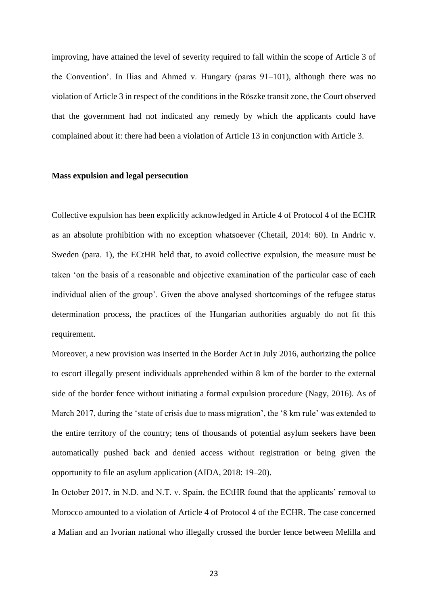improving, have attained the level of severity required to fall within the scope of Article 3 of the Convention'. In Ilias and Ahmed v. Hungary (paras 91–101), although there was no violation of Article 3 in respect of the conditions in the Röszke transit zone, the Court observed that the government had not indicated any remedy by which the applicants could have complained about it: there had been a violation of Article 13 in conjunction with Article 3.

#### **Mass expulsion and legal persecution**

Collective expulsion has been explicitly acknowledged in Article 4 of Protocol 4 of the ECHR as an absolute prohibition with no exception whatsoever (Chetail, 2014: 60). In Andric v. Sweden (para. 1), the ECtHR held that, to avoid collective expulsion, the measure must be taken 'on the basis of a reasonable and objective examination of the particular case of each individual alien of the group'. Given the above analysed shortcomings of the refugee status determination process, the practices of the Hungarian authorities arguably do not fit this requirement.

Moreover, a new provision was inserted in the Border Act in July 2016, authorizing the police to escort illegally present individuals apprehended within 8 km of the border to the external side of the border fence without initiating a formal expulsion procedure (Nagy, 2016). As of March 2017, during the 'state of crisis due to mass migration', the '8 km rule' was extended to the entire territory of the country; tens of thousands of potential asylum seekers have been automatically pushed back and denied access without registration or being given the opportunity to file an asylum application (AIDA, 2018: 19–20).

In October 2017, in N.D. and N.T. v. Spain, the ECtHR found that the applicants' removal to Morocco amounted to a violation of Article 4 of Protocol 4 of the ECHR. The case concerned a Malian and an Ivorian national who illegally crossed the border fence between Melilla and

23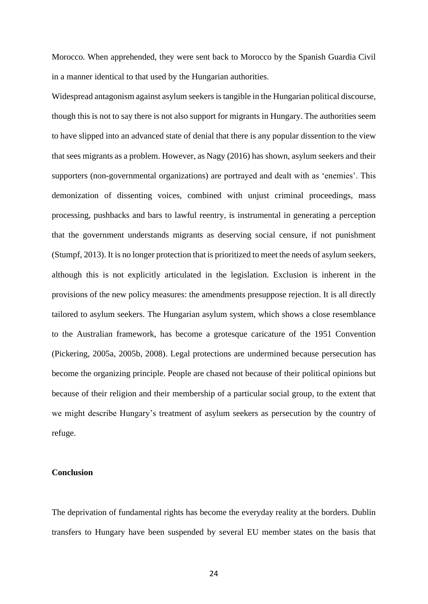Morocco. When apprehended, they were sent back to Morocco by the Spanish Guardia Civil in a manner identical to that used by the Hungarian authorities.

Widespread antagonism against asylum seekers is tangible in the Hungarian political discourse, though this is not to say there is not also support for migrants in Hungary. The authorities seem to have slipped into an advanced state of denial that there is any popular dissention to the view that sees migrants as a problem. However, as Nagy (2016) has shown, asylum seekers and their supporters (non-governmental organizations) are portrayed and dealt with as 'enemies'. This demonization of dissenting voices, combined with unjust criminal proceedings, mass processing, pushbacks and bars to lawful reentry, is instrumental in generating a perception that the government understands migrants as deserving social censure, if not punishment (Stumpf, 2013). It is no longer protection that is prioritized to meet the needs of asylum seekers, although this is not explicitly articulated in the legislation. Exclusion is inherent in the provisions of the new policy measures: the amendments presuppose rejection. It is all directly tailored to asylum seekers. The Hungarian asylum system, which shows a close resemblance to the Australian framework, has become a grotesque caricature of the 1951 Convention (Pickering, 2005a, 2005b, 2008). Legal protections are undermined because persecution has become the organizing principle. People are chased not because of their political opinions but because of their religion and their membership of a particular social group, to the extent that we might describe Hungary's treatment of asylum seekers as persecution by the country of refuge.

#### **Conclusion**

The deprivation of fundamental rights has become the everyday reality at the borders. Dublin transfers to Hungary have been suspended by several EU member states on the basis that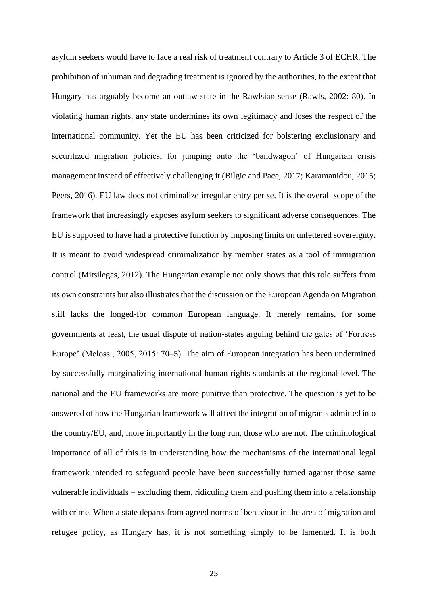asylum seekers would have to face a real risk of treatment contrary to Article 3 of ECHR. The prohibition of inhuman and degrading treatment is ignored by the authorities, to the extent that Hungary has arguably become an outlaw state in the Rawlsian sense (Rawls, 2002: 80). In violating human rights, any state undermines its own legitimacy and loses the respect of the international community. Yet the EU has been criticized for bolstering exclusionary and securitized migration policies, for jumping onto the 'bandwagon' of Hungarian crisis management instead of effectively challenging it (Bilgic and Pace, 2017; Karamanidou, 2015; Peers, 2016). EU law does not criminalize irregular entry per se. It is the overall scope of the framework that increasingly exposes asylum seekers to significant adverse consequences. The EU is supposed to have had a protective function by imposing limits on unfettered sovereignty. It is meant to avoid widespread criminalization by member states as a tool of immigration control (Mitsilegas, 2012). The Hungarian example not only shows that this role suffers from its own constraints but also illustrates that the discussion on the European Agenda on Migration still lacks the longed-for common European language. It merely remains, for some governments at least, the usual dispute of nation-states arguing behind the gates of 'Fortress Europe' (Melossi, 2005, 2015: 70–5). The aim of European integration has been undermined by successfully marginalizing international human rights standards at the regional level. The national and the EU frameworks are more punitive than protective. The question is yet to be answered of how the Hungarian framework will affect the integration of migrants admitted into the country/EU, and, more importantly in the long run, those who are not. The criminological importance of all of this is in understanding how the mechanisms of the international legal framework intended to safeguard people have been successfully turned against those same vulnerable individuals – excluding them, ridiculing them and pushing them into a relationship with crime. When a state departs from agreed norms of behaviour in the area of migration and refugee policy, as Hungary has, it is not something simply to be lamented. It is both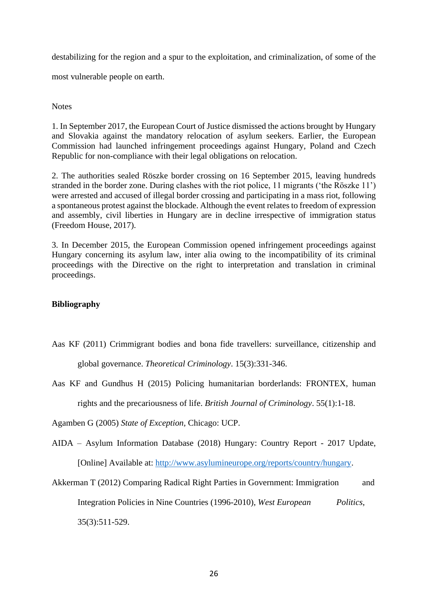destabilizing for the region and a spur to the exploitation, and criminalization, of some of the

most vulnerable people on earth.

### **Notes**

1. In September 2017, the European Court of Justice dismissed the actions brought by Hungary and Slovakia against the mandatory relocation of asylum seekers. Earlier, the European Commission had launched infringement proceedings against Hungary, Poland and Czech Republic for non-compliance with their legal obligations on relocation.

2. The authorities sealed Röszke border crossing on 16 September 2015, leaving hundreds stranded in the border zone. During clashes with the riot police, 11 migrants ('the Röszke 11') were arrested and accused of illegal border crossing and participating in a mass riot, following a spontaneous protest against the blockade. Although the event relates to freedom of expression and assembly, civil liberties in Hungary are in decline irrespective of immigration status (Freedom House, 2017).

3. In December 2015, the European Commission opened infringement proceedings against Hungary concerning its asylum law, inter alia owing to the incompatibility of its criminal proceedings with the Directive on the right to interpretation and translation in criminal proceedings.

## **Bibliography**

- Aas KF (2011) Crimmigrant bodies and bona fide travellers: surveillance, citizenship and global governance. *Theoretical Criminology*. 15(3):331-346.
- Aas KF and Gundhus H (2015) Policing humanitarian borderlands: FRONTEX, human rights and the precariousness of life. *British Journal of Criminology*. 55(1):1-18.

Agamben G (2005) *State of Exception,* Chicago: UCP.

- AIDA Asylum Information Database (2018) Hungary: Country Report 2017 Update, [Online] Available at: [http://www.asylumineurope.org/reports/country/hungary.](http://www.asylumineurope.org/reports/country/hungary)
- Akkerman T (2012) Comparing Radical Right Parties in Government: Immigration and Integration Policies in Nine Countries (1996-2010), *West European Politics*, 35(3):511-529.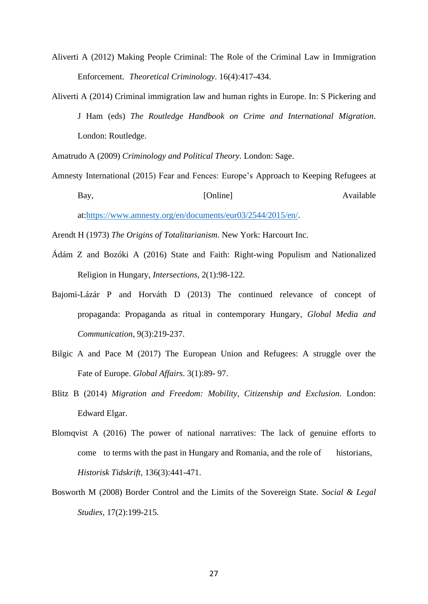- Aliverti A (2012) Making People Criminal: The Role of the Criminal Law in Immigration Enforcement. *Theoretical Criminology*. 16(4):417-434.
- Aliverti A (2014) Criminal immigration law and human rights in Europe. In: S Pickering and J Ham (eds) *The Routledge Handbook on Crime and International Migration*. London: Routledge.

Amatrudo A (2009) *Criminology and Political Theory.* London: Sage.

Amnesty International (2015) Fear and Fences: Europe's Approach to Keeping Refugees at Bay, [Online] Available at[:https://www.amnesty.org/en/documents/eur03/2544/2015/en/.](https://www.amnesty.org/en/documents/eur03/2544/2015/en/)

Arendt H (1973) *The Origins of Totalitarianism*. New York: Harcourt Inc.

- Ádám Z and Bozóki A (2016) State and Faith: Right-wing Populism and Nationalized Religion in Hungary, *Intersections,* 2(1):98-122.
- Bajomi-Lázár P and Horváth D (2013) The continued relevance of concept of propaganda: Propaganda as ritual in contemporary Hungary, *Global Media and Communication*, 9(3):219-237.
- Bilgic A and Pace M (2017) The European Union and Refugees: A struggle over the Fate of Europe. *Global Affairs*. 3(1):89- 97.
- Blitz B (2014) *Migration and Freedom: Mobility, Citizenship and Exclusion.* London: Edward Elgar.
- Blomqvist A (2016) The power of national narratives: The lack of genuine efforts to come to terms with the past in Hungary and Romania, and the role of historians, *Historisk Tidskrift,* 136(3):441-471.
- Bosworth M (2008) Border Control and the Limits of the Sovereign State. *Social & Legal Studies*, 17(2):199-215.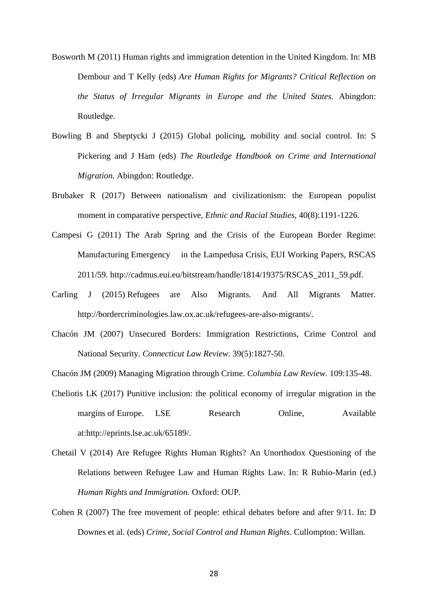- Bosworth M (2011) Human rights and immigration detention in the United Kingdom. In: MB Dembour and T Kelly (eds) *Are Human Rights for Migrants? Critical Reflection on the Status of Irregular Migrants in Europe and the United States.* Abingdon: Routledge.
- Bowling B and Sheptycki J (2015) Global policing, mobility and social control. In: S Pickering and J Ham (eds) *The Routledge Handbook on Crime and International Migration.* Abingdon: Routledge.
- Brubaker R (2017) Between nationalism and civilizationism: the European populist moment in comparative perspective, *Ethnic and Racial Studies*, 40(8):1191-1226.
- Campesi G (2011) The Arab Spring and the Crisis of the European Border Regime: Manufacturing Emergency in the Lampedusa Crisis, EUI Working Papers, RSCAS 2011/59. [http://cadmus.eui.eu/bitstream/handle/1814/19375/RSCAS\\_2011\\_59.pdf.](http://cadmus.eui.eu/bitstream/handle/1814/19375/RSCAS_2011_59.pdf)
- Carling J (2015) Refugees are Also Migrants. And All Migrants Matter. http://bordercriminologies.law.ox.ac.uk/refugees-are-also-migrants/.
- Chacón JM (2007) Unsecured Borders: Immigration Restrictions, Crime Control and National Security. *Connecticut Law Review.* 39(5):1827-50.

Chacón JM (2009) Managing Migration through Crime. *Columbia Law Review.* 109:135-48.

- Cheliotis LK (2017) Punitive inclusion: the political economy of irregular migration in the margins of Europe. LSE Research Online, Available at:http://eprints.lse.ac.uk/65189/.
- Chetail V (2014) Are Refugee Rights Human Rights? An Unorthodox Questioning of the Relations between Refugee Law and Human Rights Law. In: R Rubio-Marin (ed.) *Human Rights and Immigration.* Oxford: OUP.
- Cohen R (2007) The free movement of people: ethical debates before and after 9/11. In: D Downes et al. (eds) *Crime, Social Control and Human Rights*. Cullompton: Willan.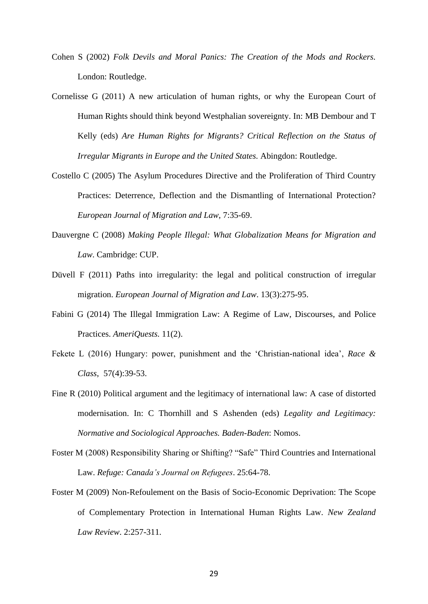- Cohen S (2002) *Folk Devils and Moral Panics: The Creation of the Mods and Rockers.* London: Routledge.
- Cornelisse G (2011) A new articulation of human rights, or why the European Court of Human Rights should think beyond Westphalian sovereignty. In: MB Dembour and T Kelly (eds) *Are Human Rights for Migrants? Critical Reflection on the Status of Irregular Migrants in Europe and the United States.* Abingdon: Routledge.
- Costello C (2005) The Asylum Procedures Directive and the Proliferation of Third Country Practices: Deterrence, Deflection and the Dismantling of International Protection? *European Journal of Migration and Law*, 7:35-69.
- Dauvergne C (2008) *Making People Illegal: What Globalization Means for Migration and Law*. Cambridge: CUP.
- Düvell F (2011) Paths into irregularity: the legal and political construction of irregular migration. *European Journal of Migration and Law*. 13(3):275-95.
- Fabini G (2014) The Illegal Immigration Law: A Regime of Law, Discourses, and Police Practices. *AmeriQuests.* 11(2).
- Fekete L (2016) Hungary: power, punishment and the 'Christian-national idea', *Race & Class*, 57(4):39-53.
- Fine R (2010) Political argument and the legitimacy of international law: A case of distorted modernisation. In: C Thornhill and S Ashenden (eds) *Legality and Legitimacy: Normative and Sociological Approaches. Baden-Baden*: Nomos.
- Foster M (2008) Responsibility Sharing or Shifting? "Safe" Third Countries and International Law. *Refuge: Canada's Journal on Refugees*. 25:64-78.
- Foster M (2009) Non-Refoulement on the Basis of Socio-Economic Deprivation: The Scope of Complementary Protection in International Human Rights Law. *New Zealand Law Review*. 2:257-311.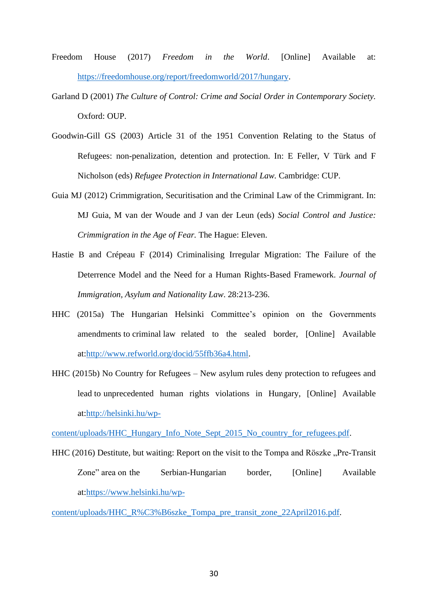- Freedom House (2017) *Freedom in the World*. [Online] Available at: [https://freedomhouse.org/report/freedomworld/2017/hungary.](https://freedomhouse.org/report/freedomworld/2017/hungary)
- Garland D (2001) *The Culture of Control: Crime and Social Order in Contemporary Society.* Oxford: OUP.
- Goodwin-Gill GS (2003) Article 31 of the 1951 Convention Relating to the Status of Refugees: non-penalization, detention and protection. In: E Feller, V Türk and F Nicholson (eds) *Refugee Protection in International Law.* Cambridge: CUP.
- Guia MJ (2012) Crimmigration, Securitisation and the Criminal Law of the Crimmigrant. In: MJ Guia, M van der Woude and J van der Leun (eds) *Social Control and Justice: Crimmigration in the Age of Fear.* The Hague: Eleven.
- Hastie B and Crépeau F (2014) Criminalising Irregular Migration: The Failure of the Deterrence Model and the Need for a Human Rights-Based Framework. *Journal of Immigration, Asylum and Nationality Law*. 28:213-236.
- HHC (2015a) The Hungarian Helsinki Committee's opinion on the Governments amendments to criminal law related to the sealed border, [Online] Available at[:http://www.refworld.org/docid/55ffb36a4.html.](http://www.refworld.org/docid/55ffb36a4.html)
- HHC (2015b) No Country for Refugees New asylum rules deny protection to refugees and lead to unprecedented human rights violations in Hungary, [Online] Available at[:http://helsinki.hu/wp-](http://helsinki.hu/wp-content/uploads/HHC_Hungary_Info_Note_Sept_2015_No_country_for_refugees.pdf)

[content/uploads/HHC\\_Hungary\\_Info\\_Note\\_Sept\\_2015\\_No\\_country\\_for\\_refugees.pdf.](http://helsinki.hu/wp-content/uploads/HHC_Hungary_Info_Note_Sept_2015_No_country_for_refugees.pdf)

HHC (2016) Destitute, but waiting: Report on the visit to the Tompa and Röszke "Pre-Transit Zone" area on the Serbian-Hungarian border, [Online] Available at[:https://www.helsinki.hu/wp-](https://www.helsinki.hu/wp-content/uploads/HHC_R%C3%B6szke_Tompa_pre_transit_zone_22April2016.pdf)

[content/uploads/HHC\\_R%C3%B6szke\\_Tompa\\_pre\\_transit\\_zone\\_22April2016.pdf.](https://www.helsinki.hu/wp-content/uploads/HHC_R%C3%B6szke_Tompa_pre_transit_zone_22April2016.pdf)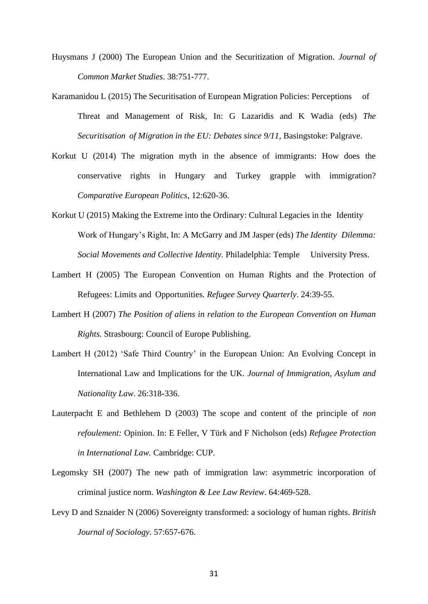- Huysmans J (2000) The European Union and the Securitization of Migration. *Journal of Common Market Studies*. 38:751-777.
- Karamanidou L (2015) The Securitisation of European Migration Policies: Perceptions of Threat and Management of Risk, In: G Lazaridis and K Wadia (eds) *The Securitisation of Migration in the EU: Debates since 9/11,* Basingstoke: Palgrave.
- Korkut U (2014) The migration myth in the absence of immigrants: How does the conservative rights in Hungary and Turkey grapple with immigration? *Comparative European Politics*, 12:620-36.
- Korkut U (2015) Making the Extreme into the Ordinary: Cultural Legacies in the Identity Work of Hungary's Right, In: A McGarry and JM Jasper (eds) *The Identity Dilemma: Social Movements and Collective Identity.* Philadelphia: Temple University Press.
- Lambert H (2005) The European Convention on Human Rights and the Protection of Refugees: Limits and Opportunities. *Refugee Survey Quarterly*. 24:39-55.
- Lambert H (2007) *The Position of aliens in relation to the European Convention on Human Rights.* Strasbourg: Council of Europe Publishing.
- Lambert H (2012) 'Safe Third Country' in the European Union: An Evolving Concept in International Law and Implications for the UK. *Journal of Immigration, Asylum and Nationality Law*. 26:318-336.
- Lauterpacht E and Bethlehem D (2003) The scope and content of the principle of *non refoulement:* Opinion. In: E Feller, V Türk and F Nicholson (eds) *Refugee Protection in International Law.* Cambridge: CUP.
- Legomsky SH (2007) The new path of immigration law: asymmetric incorporation of criminal justice norm. *Washington & Lee Law Review*. 64:469-528.
- Levy D and Sznaider N (2006) Sovereignty transformed: a sociology of human rights. *British Journal of Sociology*. 57:657-676.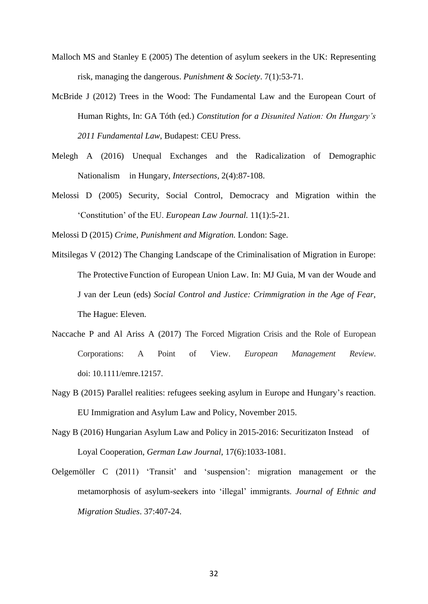- Malloch MS and Stanley E (2005) The detention of asylum seekers in the UK: Representing risk, managing the dangerous. *Punishment & Society*. 7(1):53-71.
- McBride J (2012) Trees in the Wood: The Fundamental Law and the European Court of Human Rights, In: GA Tóth (ed.) *Constitution for a Disunited Nation: On Hungary's 2011 Fundamental Law*, Budapest: CEU Press.
- Melegh A (2016) Unequal Exchanges and the Radicalization of Demographic Nationalism in Hungary, *Intersections,* 2(4):87-108.
- Melossi D (2005) Security, Social Control, Democracy and Migration within the 'Constitution' of the EU. *European Law Journal.* 11(1):5-21.

Melossi D (2015) *Crime, Punishment and Migration.* London: Sage.

- Mitsilegas V (2012) The Changing Landscape of the Criminalisation of Migration in Europe: The Protective Function of European Union Law. In: MJ Guia, M van der Woude and J van der Leun (eds) *Social Control and Justice: Crimmigration in the Age of Fear,* The Hague: Eleven.
- Naccache P and Al Ariss A (2017) The Forced Migration Crisis and the Role of European Corporations: A Point of View. *European Management Review*. doi: [10.1111/emre.12157.](http://dx.doi.org/10.1111/emre.12157)
- Nagy B (2015) Parallel realities: refugees seeking asylum in Europe and Hungary's reaction. EU Immigration and Asylum Law and Policy, November 2015.
- Nagy B (2016) Hungarian Asylum Law and Policy in 2015-2016: Securitizaton Instead of Loyal Cooperation, *German Law Journal*, 17(6):1033-1081.
- Oelgemöller C (2011) 'Transit' and 'suspension': migration management or the metamorphosis of asylum-seekers into 'illegal' immigrants. *Journal of Ethnic and Migration Studies*. 37:407-24.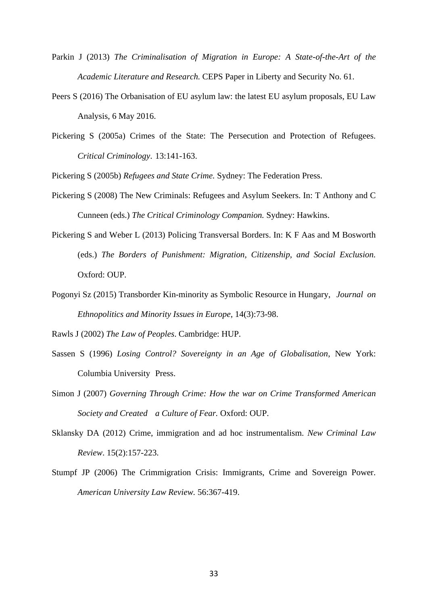- Parkin J (2013) *The Criminalisation of Migration in Europe: A State-of-the-Art of the Academic Literature and Research.* CEPS Paper in Liberty and Security No. 61.
- Peers S (2016) The Orbanisation of EU asylum law: the latest EU asylum proposals, EU Law Analysis, 6 May 2016.
- Pickering S (2005a) Crimes of the State: The Persecution and Protection of Refugees. *Critical Criminology*. 13:141-163.

Pickering S (2005b) *Refugees and State Crime.* Sydney: The Federation Press.

- Pickering S (2008) The New Criminals: Refugees and Asylum Seekers. In: T Anthony and C Cunneen (eds.) *The Critical Criminology Companion.* Sydney: Hawkins.
- Pickering S and Weber L (2013) Policing Transversal Borders. In: K F Aas and M Bosworth (eds.) *The Borders of Punishment: Migration, Citizenship, and Social Exclusion.* Oxford: OUP.
- Pogonyi Sz (2015) Transborder Kin-minority as Symbolic Resource in Hungary, *Journal on Ethnopolitics and Minority Issues in Europe*, 14(3):73-98.

Rawls J (2002) *The Law of Peoples*. Cambridge: HUP.

- Sassen S (1996) *Losing Control? Sovereignty in an Age of Globalisation*, New York: Columbia University Press.
- Simon J (2007) *Governing Through Crime: How the war on Crime Transformed American Society and Created a Culture of Fear.* Oxford: OUP.
- Sklansky DA (2012) Crime, immigration and ad hoc instrumentalism. *New Criminal Law Review*. 15(2):157-223.
- Stumpf JP (2006) The Crimmigration Crisis: Immigrants, Crime and Sovereign Power. *American University Law Review.* 56:367-419.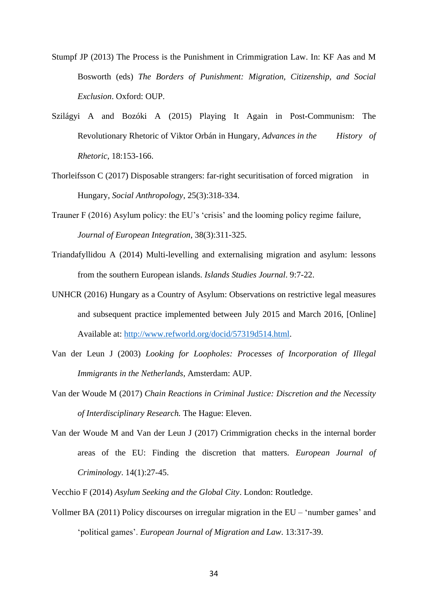- Stumpf JP (2013) The Process is the Punishment in Crimmigration Law. In: KF Aas and M Bosworth (eds) *The Borders of Punishment: Migration, Citizenship, and Social Exclusion*. Oxford: OUP.
- Szilágyi A and Bozóki A (2015) Playing It Again in Post-Communism: The Revolutionary Rhetoric of Viktor Orbán in Hungary, *Advances in the History of Rhetoric*, 18:153-166.
- Thorleifsson C (2017) Disposable strangers: far-right securitisation of forced migration in Hungary, *Social Anthropology*, 25(3):318-334.
- Trauner F (2016) Asylum policy: the EU's 'crisis' and the looming policy regime failure, *Journal of European Integration*, 38(3):311-325.
- Triandafyllidou A (2014) Multi-levelling and externalising migration and asylum: lessons from the southern European islands. *Islands Studies Journal*. 9:7-22.
- UNHCR (2016) Hungary as a Country of Asylum: Observations on restrictive legal measures and subsequent practice implemented between July 2015 and March 2016, [Online] Available at: [http://www.refworld.org/docid/57319d514.html.](http://www.refworld.org/docid/57319d514.html)
- Van der Leun J (2003) *Looking for Loopholes: Processes of Incorporation of Illegal Immigrants in the Netherlands,* Amsterdam: AUP.
- Van der Woude M (2017) *Chain Reactions in Criminal Justice: Discretion and the Necessity of Interdisciplinary Research.* The Hague: Eleven.
- Van der Woude M and Van der Leun J (2017) Crimmigration checks in the internal border areas of the EU: Finding the discretion that matters. *European Journal of Criminology*. 14(1):27-45.
- Vecchio F (2014) *Asylum Seeking and the Global City*. London: Routledge.
- Vollmer BA (2011) Policy discourses on irregular migration in the EU 'number games' and 'political games'. *European Journal of Migration and Law*. 13:317-39.